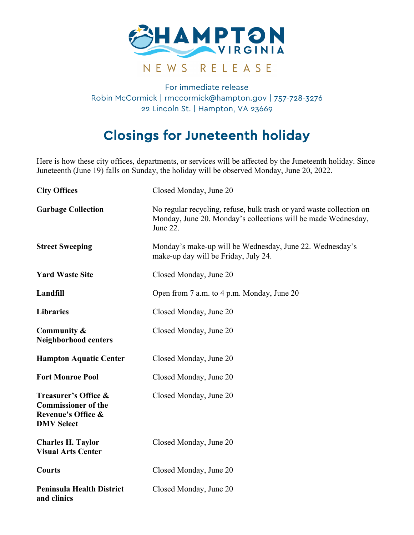

## For immediate release Robin McCormick | rmccormick@hampton.gov | 757-728-3276 22 Lincoln St. | Hampton, VA 23669

## Closings for Juneteenth holiday

Here is how these city offices, departments, or services will be affected by the Juneteenth holiday. Since Juneteenth (June 19) falls on Sunday, the holiday will be observed Monday, June 20, 2022.

| <b>City Offices</b>                                                                                      | Closed Monday, June 20                                                                                                                            |
|----------------------------------------------------------------------------------------------------------|---------------------------------------------------------------------------------------------------------------------------------------------------|
| <b>Garbage Collection</b>                                                                                | No regular recycling, refuse, bulk trash or yard waste collection on<br>Monday, June 20. Monday's collections will be made Wednesday,<br>June 22. |
| <b>Street Sweeping</b>                                                                                   | Monday's make-up will be Wednesday, June 22. Wednesday's<br>make-up day will be Friday, July 24.                                                  |
| <b>Yard Waste Site</b>                                                                                   | Closed Monday, June 20                                                                                                                            |
| Landfill                                                                                                 | Open from 7 a.m. to 4 p.m. Monday, June 20                                                                                                        |
| <b>Libraries</b>                                                                                         | Closed Monday, June 20                                                                                                                            |
| Community &<br>Neighborhood centers                                                                      | Closed Monday, June 20                                                                                                                            |
| <b>Hampton Aquatic Center</b>                                                                            | Closed Monday, June 20                                                                                                                            |
| <b>Fort Monroe Pool</b>                                                                                  | Closed Monday, June 20                                                                                                                            |
| Treasurer's Office &<br><b>Commissioner of the</b><br><b>Revenue's Office &amp;</b><br><b>DMV Select</b> | Closed Monday, June 20                                                                                                                            |
| <b>Charles H. Taylor</b><br><b>Visual Arts Center</b>                                                    | Closed Monday, June 20                                                                                                                            |
| <b>Courts</b>                                                                                            | Closed Monday, June 20                                                                                                                            |
| <b>Peninsula Health District</b><br>and clinics                                                          | Closed Monday, June 20                                                                                                                            |